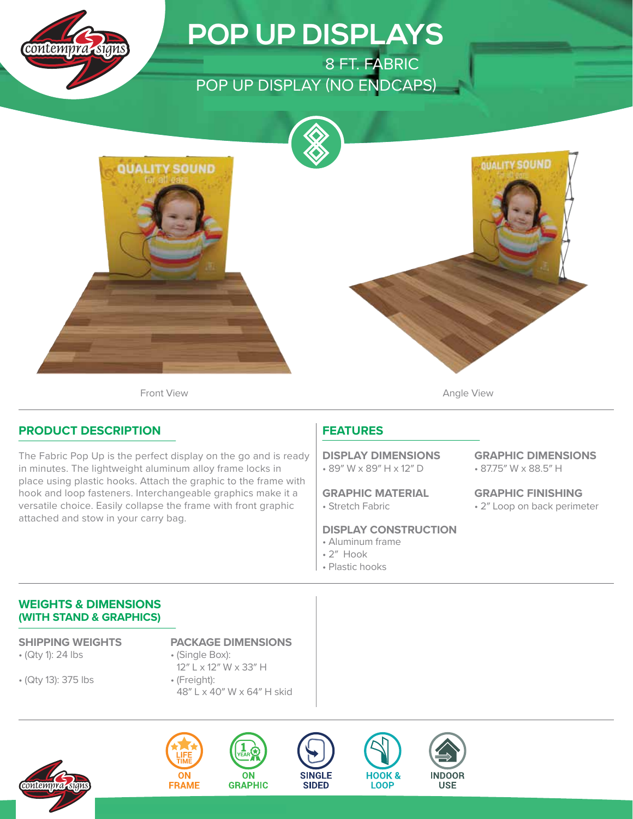

# **POP UP DISPLAYS**

8 FT. FABRIC POP UP DISPLAY (NO ENDCAPS)



Front View **Angle View Angle View** 

### **PRODUCT DESCRIPTION**

The Fabric Pop Up is the perfect display on the go and is ready in minutes. The lightweight aluminum alloy frame locks in place using plastic hooks. Attach the graphic to the frame with hook and loop fasteners. Interchangeable graphics make it a versatile choice. Easily collapse the frame with front graphic attached and stow in your carry bag.

## **FEATURES**

• 89″ W x 89″ H x 12″ D **DISPLAY DIMENSIONS**

• Stretch Fabric **GRAPHIC MATERIAL**

#### **DISPLAY CONSTRUCTION**

- Aluminum frame
- 2″ Hook
- Plastic hooks

• 87.75″ W x 88.5″ H **GRAPHIC DIMENSIONS**

**QUALITY SOUND** 

• 2″ Loop on back perimeter **GRAPHIC FINISHING**

#### **WEIGHTS & DIMENSIONS (WITH STAND & GRAPHICS)**

• (Qty 1): 24 lbs

• (Qty 13): 375 lbs

**SHIPPING WEIGHTS PACKAGE DIMENSIONS**

- (Single Box): 12″ L x 12″ W x 33″ H
- (Freight): 48″ L x 40″ W x 64″ H skid











**HOOK &** 

**LOOP**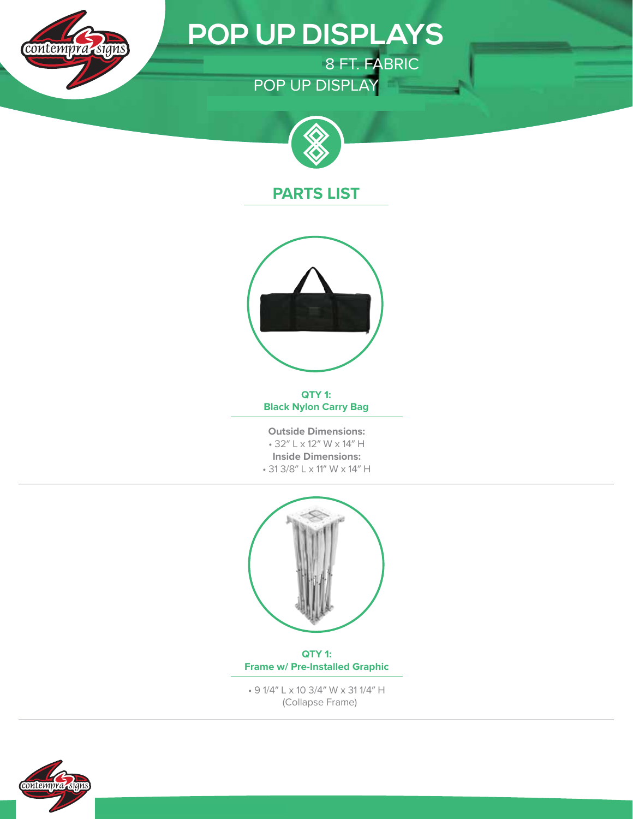

# **POP UP DISPLAYS**

8 FT. FABRIC POP UP DISPLAY



## **PARTS LIST**



**QTY 1: Black Nylon Carry Bag**

**Outside Dimensions:** • 32″ L x 12″ W x 14″ H **Inside Dimensions:** • 31 3/8″ L x 11″ W x 14″ H



**QTY 1: Frame w/ Pre-Installed Graphic**

• 9 1/4″ L x 10 3/4″ W x 31 1/4″ H (Collapse Frame)